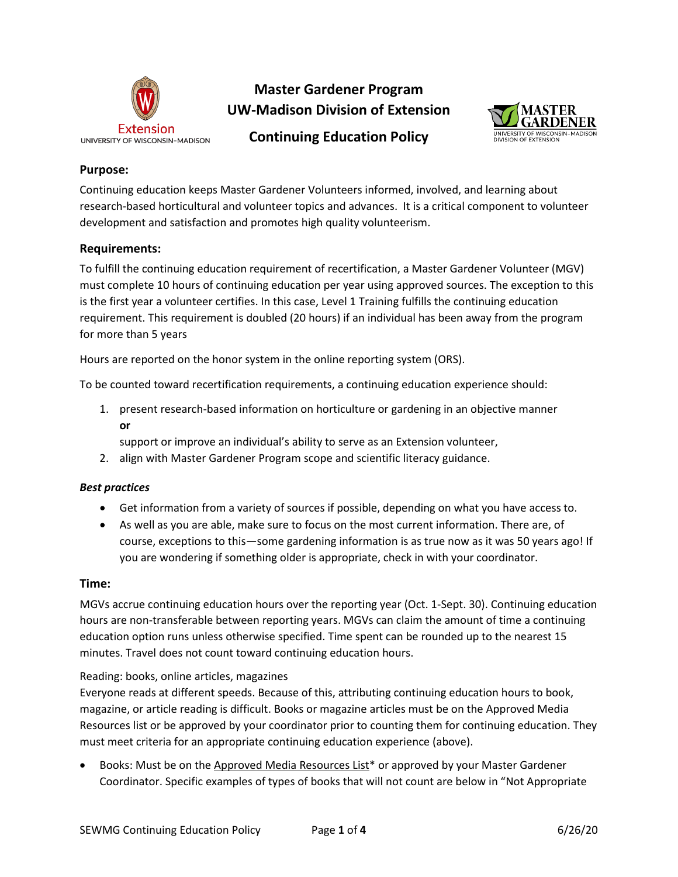

# **Master Gardener Program UW-Madison Division of Extension**



**Continuing Education Policy**

# **Purpose:**

Continuing education keeps Master Gardener Volunteers informed, involved, and learning about research-based horticultural and volunteer topics and advances. It is a critical component to volunteer development and satisfaction and promotes high quality volunteerism.

# **Requirements:**

To fulfill the continuing education requirement of recertification, a Master Gardener Volunteer (MGV) must complete 10 hours of continuing education per year using approved sources. The exception to this is the first year a volunteer certifies. In this case, Level 1 Training fulfills the continuing education requirement. This requirement is doubled (20 hours) if an individual has been away from the program for more than 5 years

Hours are reported on the honor system in the online reporting system (ORS).

To be counted toward recertification requirements, a continuing education experience should:

1. present research-based information on horticulture or gardening in an objective manner **or**

support or improve an individual's ability to serve as an Extension volunteer,

2. align with Master Gardener Program scope and scientific literacy guidance.

## *Best practices*

- Get information from a variety of sources if possible, depending on what you have access to.
- As well as you are able, make sure to focus on the most current information. There are, of course, exceptions to this—some gardening information is as true now as it was 50 years ago! If you are wondering if something older is appropriate, check in with your coordinator.

## **Time:**

MGVs accrue continuing education hours over the reporting year (Oct. 1-Sept. 30). Continuing education hours are non-transferable between reporting years. MGVs can claim the amount of time a continuing education option runs unless otherwise specified. Time spent can be rounded up to the nearest 15 minutes. Travel does not count toward continuing education hours.

## Reading: books, online articles, magazines

Everyone reads at different speeds. Because of this, attributing continuing education hours to book, magazine, or article reading is difficult. Books or magazine articles must be on the Approved Media Resources list or be approved by your coordinator prior to counting them for continuing education. They must meet criteria for an appropriate continuing education experience (above).

• Books: Must be on the Approved Media Resources List\* or approved by your Master Gardener Coordinator. Specific examples of types of books that will not count are below in "Not Appropriate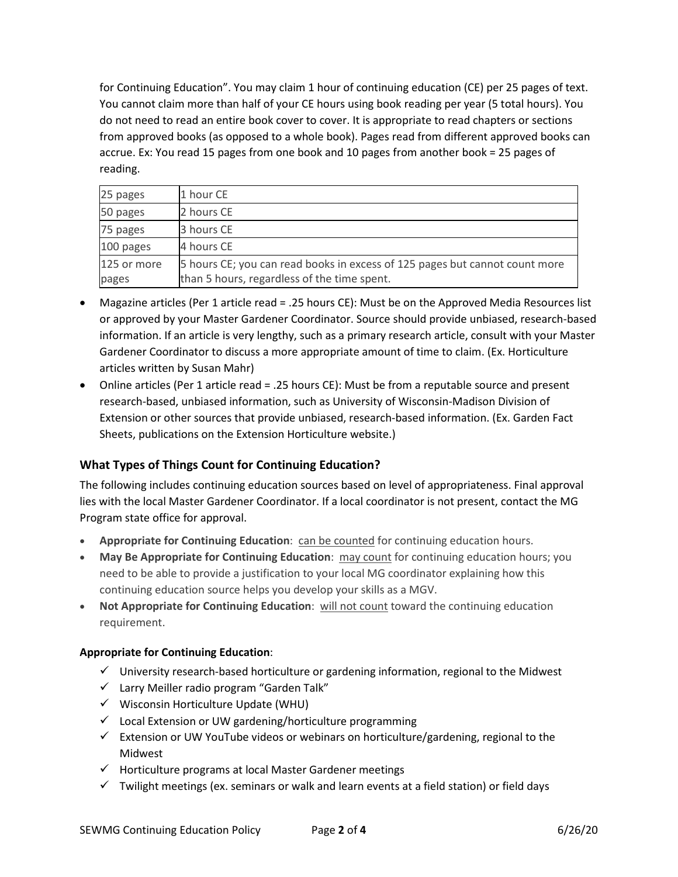for Continuing Education". You may claim 1 hour of continuing education (CE) per 25 pages of text. You cannot claim more than half of your CE hours using book reading per year (5 total hours). You do not need to read an entire book cover to cover. It is appropriate to read chapters or sections from approved books (as opposed to a whole book). Pages read from different approved books can accrue. Ex: You read 15 pages from one book and 10 pages from another book = 25 pages of reading.

| 25 pages    | 1 hour CE                                                                   |
|-------------|-----------------------------------------------------------------------------|
| 50 pages    | 2 hours CE                                                                  |
| 75 pages    | 3 hours CE                                                                  |
| 100 pages   | 4 hours CE                                                                  |
| 125 or more | 5 hours CE; you can read books in excess of 125 pages but cannot count more |
| pages       | than 5 hours, regardless of the time spent.                                 |

- Magazine articles (Per 1 article read = .25 hours CE): Must be on the Approved Media Resources list or approved by your Master Gardener Coordinator. Source should provide unbiased, research-based information. If an article is very lengthy, such as a primary research article, consult with your Master Gardener Coordinator to discuss a more appropriate amount of time to claim. (Ex. Horticulture articles written by Susan Mahr)
- Online articles (Per 1 article read = .25 hours CE): Must be from a reputable source and present research-based, unbiased information, such as University of Wisconsin-Madison Division of Extension or other sources that provide unbiased, research-based information. (Ex. Garden Fact Sheets, publications on the Extension Horticulture website.)

# **What Types of Things Count for Continuing Education?**

The following includes continuing education sources based on level of appropriateness. Final approval lies with the local Master Gardener Coordinator. If a local coordinator is not present, contact the MG Program state office for approval.

- **Appropriate for Continuing Education**: can be counted for continuing education hours.
- **May Be Appropriate for Continuing Education**: may count for continuing education hours; you need to be able to provide a justification to your local MG coordinator explaining how this continuing education source helps you develop your skills as a MGV.
- **Not Appropriate for Continuing Education**: will not count toward the continuing education requirement.

### **Appropriate for Continuing Education**:

- $\checkmark$  University research-based horticulture or gardening information, regional to the Midwest
- $\checkmark$  Larry Meiller radio program "Garden Talk"
- $\checkmark$  Wisconsin Horticulture Update (WHU)
- $\checkmark$  Local Extension or UW gardening/horticulture programming
- $\checkmark$  Extension or UW YouTube videos or webinars on horticulture/gardening, regional to the Midwest
- $\checkmark$  Horticulture programs at local Master Gardener meetings
- $\checkmark$  Twilight meetings (ex. seminars or walk and learn events at a field station) or field days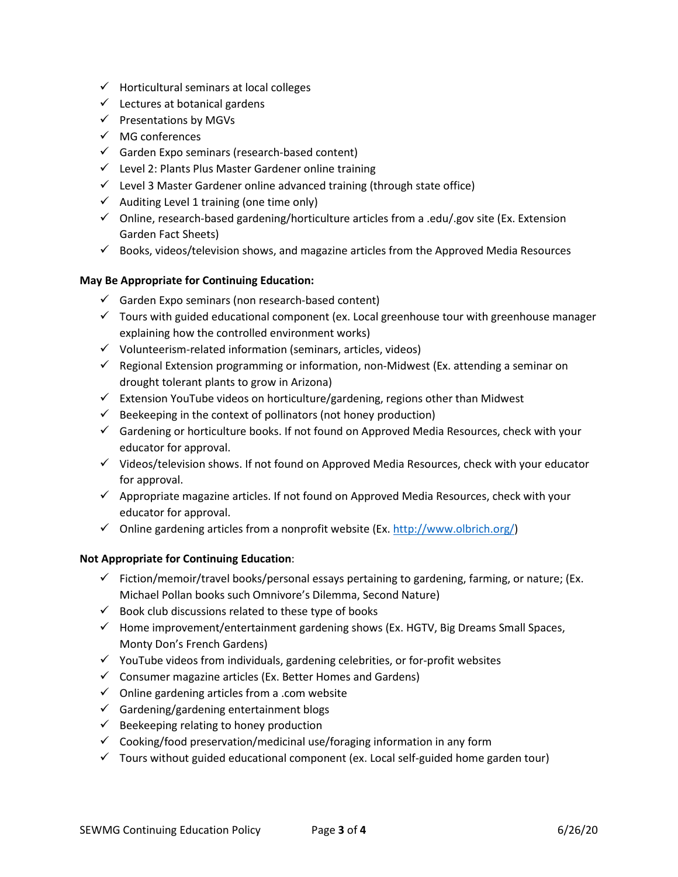- $\checkmark$  Horticultural seminars at local colleges
- $\checkmark$  Lectures at botanical gardens
- $\checkmark$  Presentations by MGVs
- $\checkmark$  MG conferences
- $\checkmark$  Garden Expo seminars (research-based content)
- $\checkmark$  Level 2: Plants Plus Master Gardener online training
- $\checkmark$  Level 3 Master Gardener online advanced training (through state office)
- $\checkmark$  Auditing Level 1 training (one time only)
- $\checkmark$  Online, research-based gardening/horticulture articles from a .edu/.gov site (Ex. Extension Garden Fact Sheets)
- $\checkmark$  Books, videos/television shows, and magazine articles from the Approved Media Resources

### **May Be Appropriate for Continuing Education:**

- $\checkmark$  Garden Expo seminars (non research-based content)
- $\checkmark$  Tours with guided educational component (ex. Local greenhouse tour with greenhouse manager explaining how the controlled environment works)
- $\checkmark$  Volunteerism-related information (seminars, articles, videos)
- $\checkmark$  Regional Extension programming or information, non-Midwest (Ex. attending a seminar on drought tolerant plants to grow in Arizona)
- $\checkmark$  Extension YouTube videos on horticulture/gardening, regions other than Midwest
- $\checkmark$  Beekeeping in the context of pollinators (not honey production)
- $\checkmark$  Gardening or horticulture books. If not found on Approved Media Resources, check with your educator for approval.
- $\checkmark$  Videos/television shows. If not found on Approved Media Resources, check with your educator for approval.
- $\checkmark$  Appropriate magazine articles. If not found on Approved Media Resources, check with your educator for approval.
- $\checkmark$  Online gardening articles from a nonprofit website (Ex. [http://www.olbrich.org/\)](http://www.olbrich.org/)

### **Not Appropriate for Continuing Education**:

- $\checkmark$  Fiction/memoir/travel books/personal essays pertaining to gardening, farming, or nature; (Ex. Michael Pollan books such Omnivore's Dilemma, Second Nature)
- $\checkmark$  Book club discussions related to these type of books
- $\checkmark$  Home improvement/entertainment gardening shows (Ex. HGTV, Big Dreams Small Spaces, Monty Don's French Gardens)
- $\checkmark$  YouTube videos from individuals, gardening celebrities, or for-profit websites
- $\checkmark$  Consumer magazine articles (Ex. Better Homes and Gardens)
- $\checkmark$  Online gardening articles from a .com website
- $\checkmark$  Gardening/gardening entertainment blogs
- $\checkmark$  Beekeeping relating to honey production
- $\checkmark$  Cooking/food preservation/medicinal use/foraging information in any form
- $\checkmark$  Tours without guided educational component (ex. Local self-guided home garden tour)